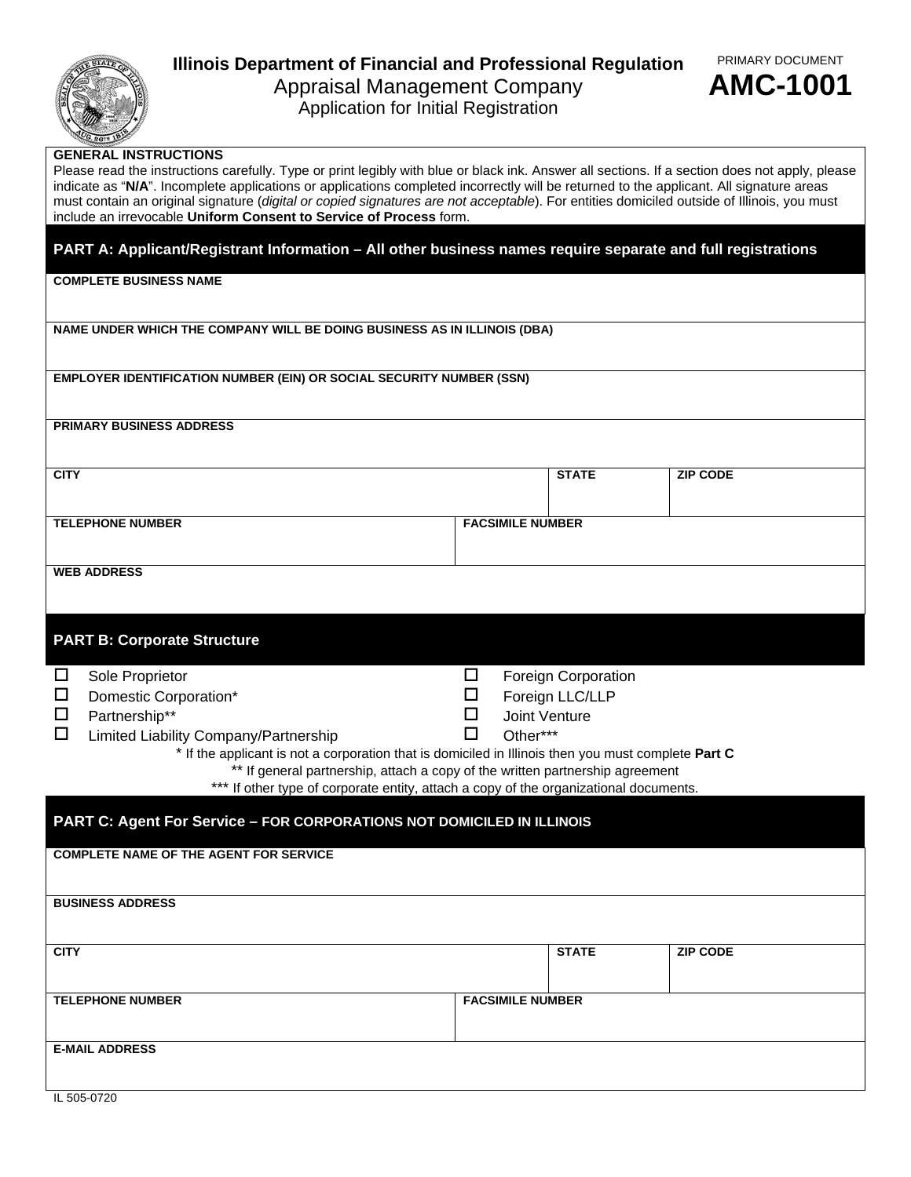

## **Illinois Department of Financial and Professional Regulation**  Appraisal Management Company



Application for Initial Registration

## **GENERAL INSTRUCTIONS**

Please read the instructions carefully. Type or print legibly with blue or black ink. Answer all sections. If a section does not apply, please indicate as "**N/A**". Incomplete applications or applications completed incorrectly will be returned to the applicant. All signature areas must contain an original signature (*digital or copied signatures are not acceptable*). For entities domiciled outside of Illinois, you must include an irrevocable **Uniform Consent to Service of Process** form.

**PART A: Applicant/Registrant Information – All other business names require separate and full registrations** 

**COMPLETE BUSINESS NAME** 

**NAME UNDER WHICH THE COMPANY WILL BE DOING BUSINESS AS IN ILLINOIS (DBA)** 

**EMPLOYER IDENTIFICATION NUMBER (EIN) OR SOCIAL SECURITY NUMBER (SSN)** 

**PRIMARY BUSINESS ADDRESS** 

| <b>CITY</b>             | <b>STATE</b>            | <b>ZIP CODE</b> |
|-------------------------|-------------------------|-----------------|
|                         |                         |                 |
|                         |                         |                 |
|                         |                         |                 |
| <b>TELEPHONE NUMBER</b> | <b>FACSIMILE NUMBER</b> |                 |
|                         |                         |                 |
|                         |                         |                 |
|                         |                         |                 |
| <b>WEB ADDRESS</b>      |                         |                 |

|  | <b>PART B: Corporate Structure</b> |  |
|--|------------------------------------|--|
|  |                                    |  |
|  |                                    |  |

|                                                                                                     |                                                                                                    | <b>Foreign Corporation</b> |  |  |  |
|-----------------------------------------------------------------------------------------------------|----------------------------------------------------------------------------------------------------|----------------------------|--|--|--|
|                                                                                                     |                                                                                                    | Foreign LLC/LLP            |  |  |  |
|                                                                                                     |                                                                                                    | Joint Venture              |  |  |  |
|                                                                                                     |                                                                                                    | Other***                   |  |  |  |
| * If the applicant is not a corporation that is domiciled in Illinois then you must complete Part C |                                                                                                    |                            |  |  |  |
| ** If general partnership, attach a copy of the written partnership agreement                       |                                                                                                    |                            |  |  |  |
|                                                                                                     | Sole Proprietor<br>Domestic Corporation*<br>Partnership**<br>Limited Liability Company/Partnership |                            |  |  |  |

\*\*\* If other type of corporate entity, attach a copy of the organizational documents.

| <b>PART C: Agent For Service - FOR CORPORATIONS NOT DOMICILED IN ILLINOIS</b> |                         |  |                 |  |
|-------------------------------------------------------------------------------|-------------------------|--|-----------------|--|
| <b>COMPLETE NAME OF THE AGENT FOR SERVICE</b>                                 |                         |  |                 |  |
| <b>BUSINESS ADDRESS</b>                                                       |                         |  |                 |  |
| <b>CITY</b>                                                                   | <b>STATE</b>            |  | <b>ZIP CODE</b> |  |
| <b>TELEPHONE NUMBER</b>                                                       | <b>FACSIMILE NUMBER</b> |  |                 |  |
| <b>E-MAIL ADDRESS</b>                                                         |                         |  |                 |  |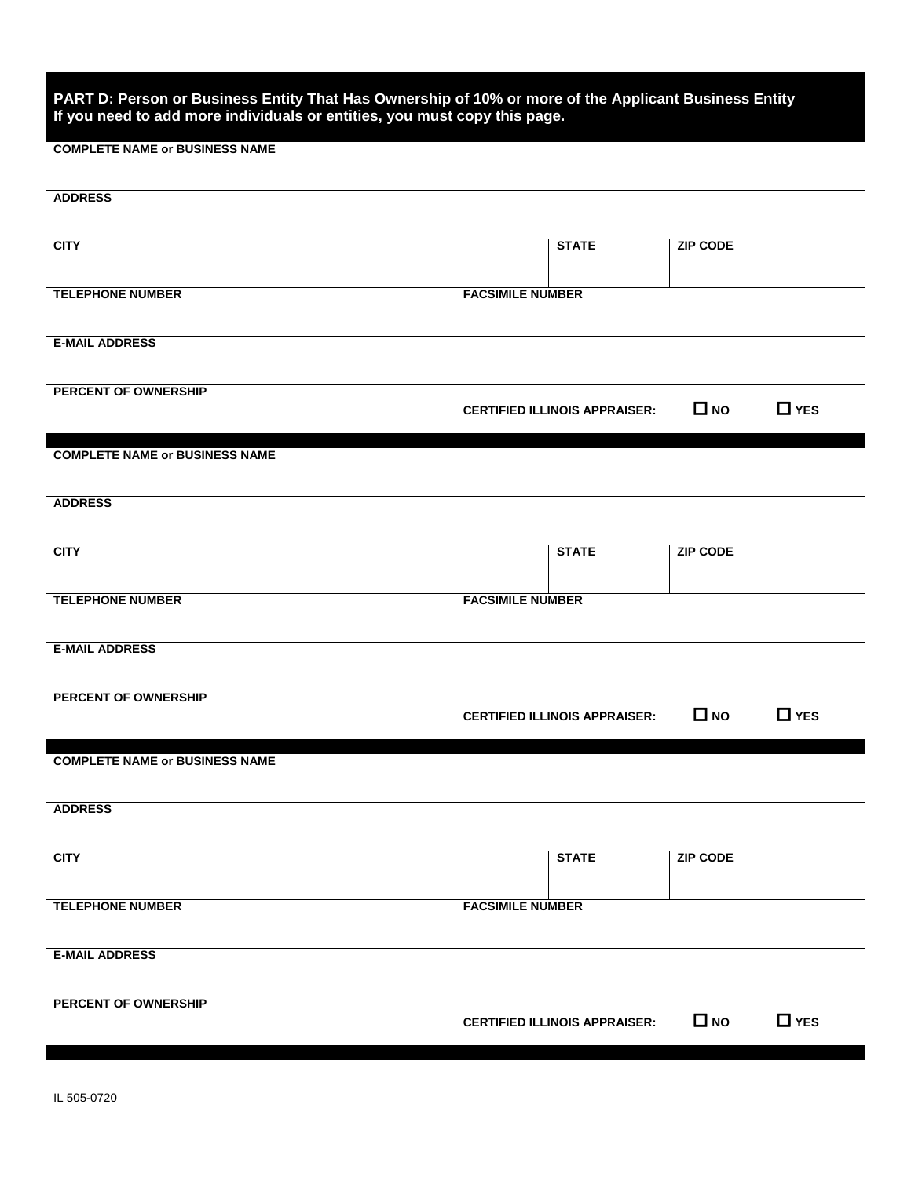| PART D: Person or Business Entity That Has Ownership of 10% or more of the Applicant Business Entity<br>If you need to add more individuals or entities, you must copy this page. |                         |                                      |                 |            |
|-----------------------------------------------------------------------------------------------------------------------------------------------------------------------------------|-------------------------|--------------------------------------|-----------------|------------|
| <b>COMPLETE NAME or BUSINESS NAME</b>                                                                                                                                             |                         |                                      |                 |            |
| <b>ADDRESS</b>                                                                                                                                                                    |                         |                                      |                 |            |
| <b>CITY</b>                                                                                                                                                                       |                         | <b>STATE</b>                         | <b>ZIP CODE</b> |            |
| <b>TELEPHONE NUMBER</b>                                                                                                                                                           | <b>FACSIMILE NUMBER</b> |                                      |                 |            |
| <b>E-MAIL ADDRESS</b>                                                                                                                                                             |                         |                                      |                 |            |
| PERCENT OF OWNERSHIP                                                                                                                                                              |                         | <b>CERTIFIED ILLINOIS APPRAISER:</b> | $\Box$ NO       | $\Box$ YES |
| <b>COMPLETE NAME or BUSINESS NAME</b>                                                                                                                                             |                         |                                      |                 |            |
| <b>ADDRESS</b>                                                                                                                                                                    |                         |                                      |                 |            |
| <b>CITY</b>                                                                                                                                                                       |                         | <b>STATE</b>                         | <b>ZIP CODE</b> |            |
| <b>TELEPHONE NUMBER</b>                                                                                                                                                           | <b>FACSIMILE NUMBER</b> |                                      |                 |            |
| <b>E-MAIL ADDRESS</b>                                                                                                                                                             |                         |                                      |                 |            |
| PERCENT OF OWNERSHIP                                                                                                                                                              |                         | <b>CERTIFIED ILLINOIS APPRAISER:</b> | $\Box$ NO       | $\Box$ YES |
| <b>COMPLETE NAME or BUSINESS NAME</b>                                                                                                                                             |                         |                                      |                 |            |
| <b>ADDRESS</b>                                                                                                                                                                    |                         |                                      |                 |            |
| <b>CITY</b>                                                                                                                                                                       |                         | <b>STATE</b>                         | <b>ZIP CODE</b> |            |
| <b>TELEPHONE NUMBER</b>                                                                                                                                                           | <b>FACSIMILE NUMBER</b> |                                      |                 |            |
| <b>E-MAIL ADDRESS</b>                                                                                                                                                             |                         |                                      |                 |            |
| PERCENT OF OWNERSHIP                                                                                                                                                              |                         | <b>CERTIFIED ILLINOIS APPRAISER:</b> | $\Box$ NO       | $\Box$ YES |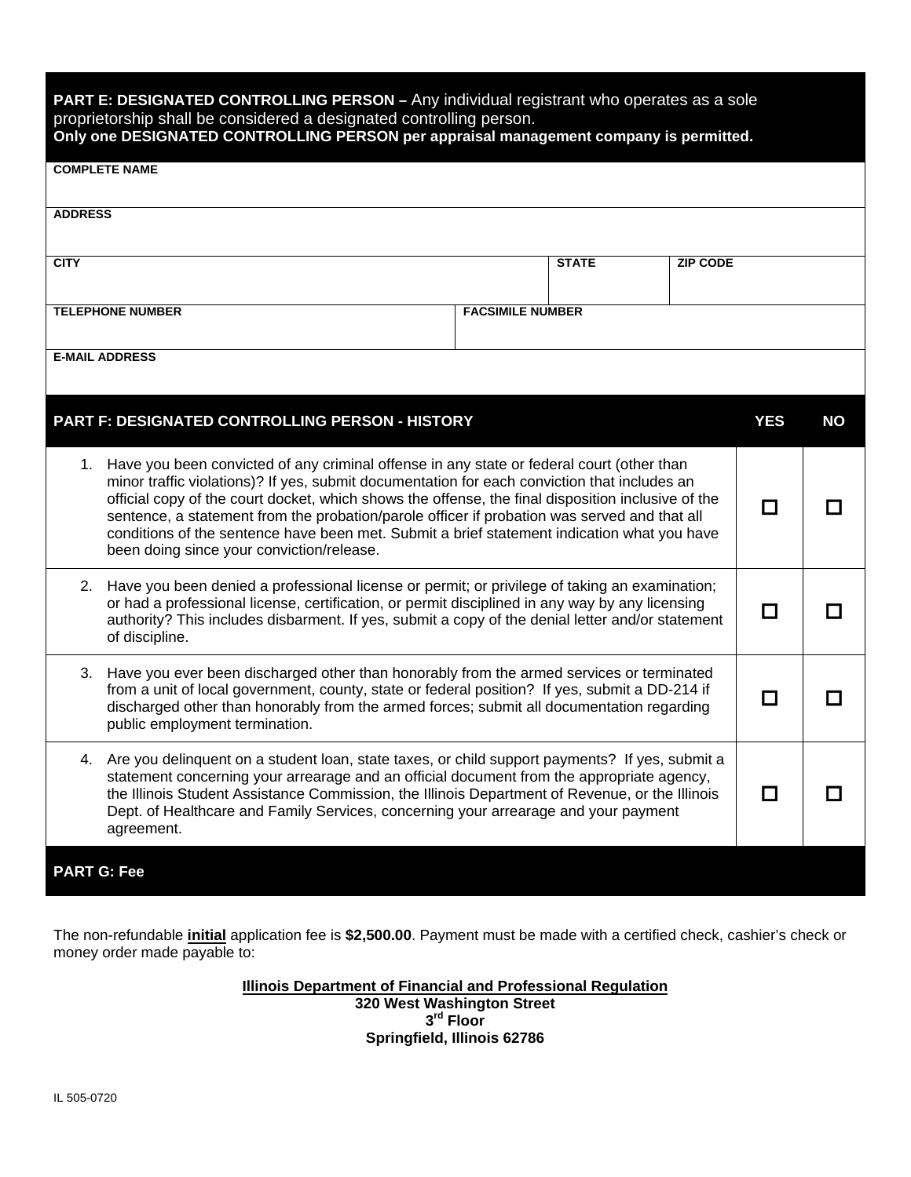| PART E: DESIGNATED CONTROLLING PERSON - Any individual registrant who operates as a sole<br>proprietorship shall be considered a designated controlling person.<br>Only one DESIGNATED CONTROLLING PERSON per appraisal management company is permitted.                                                                                                                                                                                                                                                                                       |                         |              |                 |            |           |
|------------------------------------------------------------------------------------------------------------------------------------------------------------------------------------------------------------------------------------------------------------------------------------------------------------------------------------------------------------------------------------------------------------------------------------------------------------------------------------------------------------------------------------------------|-------------------------|--------------|-----------------|------------|-----------|
| <b>COMPLETE NAME</b>                                                                                                                                                                                                                                                                                                                                                                                                                                                                                                                           |                         |              |                 |            |           |
| <b>ADDRESS</b>                                                                                                                                                                                                                                                                                                                                                                                                                                                                                                                                 |                         |              |                 |            |           |
| <b>CITY</b>                                                                                                                                                                                                                                                                                                                                                                                                                                                                                                                                    |                         | <b>STATE</b> | <b>ZIP CODE</b> |            |           |
| <b>TELEPHONE NUMBER</b>                                                                                                                                                                                                                                                                                                                                                                                                                                                                                                                        | <b>FACSIMILE NUMBER</b> |              |                 |            |           |
| <b>E-MAIL ADDRESS</b>                                                                                                                                                                                                                                                                                                                                                                                                                                                                                                                          |                         |              |                 |            |           |
| PART F: DESIGNATED CONTROLLING PERSON - HISTORY                                                                                                                                                                                                                                                                                                                                                                                                                                                                                                |                         |              |                 | <b>YES</b> | <b>NO</b> |
| 1. Have you been convicted of any criminal offense in any state or federal court (other than<br>minor traffic violations)? If yes, submit documentation for each conviction that includes an<br>official copy of the court docket, which shows the offense, the final disposition inclusive of the<br>sentence, a statement from the probation/parole officer if probation was served and that all<br>conditions of the sentence have been met. Submit a brief statement indication what you have<br>been doing since your conviction/release. |                         |              | П               |            |           |
| 2. Have you been denied a professional license or permit; or privilege of taking an examination;<br>or had a professional license, certification, or permit disciplined in any way by any licensing<br>authority? This includes disbarment. If yes, submit a copy of the denial letter and/or statement<br>of discipline.                                                                                                                                                                                                                      |                         |              |                 | $\Box$     |           |
| Have you ever been discharged other than honorably from the armed services or terminated<br>3.<br>from a unit of local government, county, state or federal position? If yes, submit a DD-214 if<br>discharged other than honorably from the armed forces; submit all documentation regarding<br>public employment termination.                                                                                                                                                                                                                |                         |              | $\Box$          |            |           |
| 4. Are you delinquent on a student loan, state taxes, or child support payments? If yes, submit a<br>statement concerning your arrearage and an official document from the appropriate agency,<br>the Illinois Student Assistance Commission, the Illinois Department of Revenue, or the Illinois<br>Dept. of Healthcare and Family Services, concerning your arrearage and your payment<br>agreement.                                                                                                                                         |                         |              | $\Box$          |            |           |
| <b>PART G: Fee</b>                                                                                                                                                                                                                                                                                                                                                                                                                                                                                                                             |                         |              |                 |            |           |

The non-refundable **initial** application fee is **\$2,500.00**. Payment must be made with a certified check, cashier's check or money order made payable to:

> **Illinois Department of Financial and Professional Regulation 320 West Washington Street 3rd Floor Springfield, Illinois 62786**